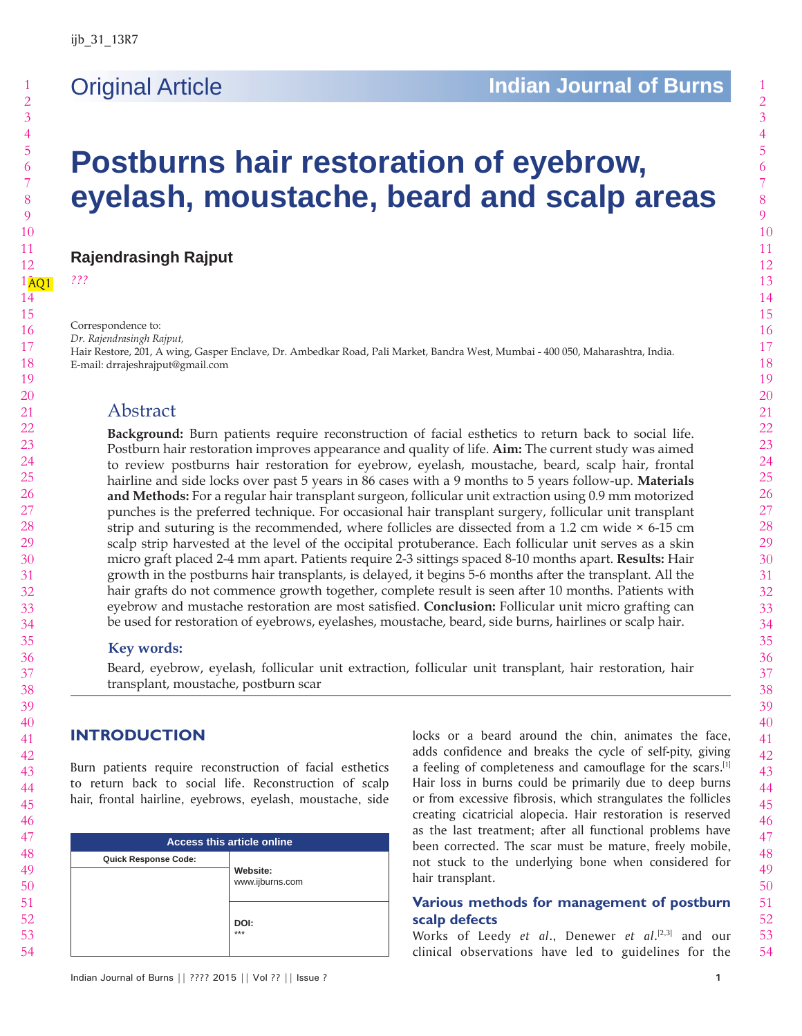# 

 

# **Postburns hair restoration of eyebrow, eyelash, moustache, beard and scalp areas**

**Rajendrasingh Rajput**

AQ1 *???*

Correspondence to:

*Dr. Rajendrasingh Rajput,*

Hair Restore, 201, A wing, Gasper Enclave, Dr. Ambedkar Road, Pali Market, Bandra West, Mumbai - 400 050, Maharashtra, India. E-mail: drrajeshrajput@gmail.com

# Abstract

**Background:** Burn patients require reconstruction of facial esthetics to return back to social life. Postburn hair restoration improves appearance and quality of life. **Aim:** The current study was aimed to review postburns hair restoration for eyebrow, eyelash, moustache, beard, scalp hair, frontal hairline and side locks over past 5 years in 86 cases with a 9 months to 5 years follow-up. **Materials and Methods:** For a regular hair transplant surgeon, follicular unit extraction using 0.9 mm motorized punches is the preferred technique. For occasional hair transplant surgery, follicular unit transplant strip and suturing is the recommended, where follicles are dissected from a 1.2 cm wide  $\times$  6-15 cm scalp strip harvested at the level of the occipital protuberance. Each follicular unit serves as a skin micro graft placed 2-4 mm apart. Patients require 2-3 sittings spaced 8-10 months apart. **Results:** Hair growth in the postburns hair transplants, is delayed, it begins 5-6 months after the transplant. All the hair grafts do not commence growth together, complete result is seen after 10 months. Patients with eyebrow and mustache restoration are most satisfied. **Conclusion:** Follicular unit micro grafting can be used for restoration of eyebrows, eyelashes, moustache, beard, side burns, hairlines or scalp hair.

# **Key words:**

Beard, eyebrow, eyelash, follicular unit extraction, follicular unit transplant, hair restoration, hair transplant, moustache, postburn scar

# **INTRODUCTION**

Burn patients require reconstruction of facial esthetics to return back to social life. Reconstruction of scalp hair, frontal hairline, eyebrows, eyelash, moustache, side

| <b>Access this article online</b> |                             |  |  |  |
|-----------------------------------|-----------------------------|--|--|--|
| <b>Quick Response Code:</b>       | Website:<br>www.ijburns.com |  |  |  |
|                                   | DOI:<br>***                 |  |  |  |

locks or a beard around the chin, animates the face, adds confidence and breaks the cycle of self-pity, giving a feeling of completeness and camouflage for the scars.[1] Hair loss in burns could be primarily due to deep burns or from excessive fibrosis, which strangulates the follicles creating cicatricial alopecia. Hair restoration is reserved as the last treatment; after all functional problems have been corrected. The scar must be mature, freely mobile, not stuck to the underlying bone when considered for hair transplant.

# **Various methods for management of postburn scalp defects**

Works of Leedy *et al*., Denewer *et al*. [2,3] and our clinical observations have led to guidelines for the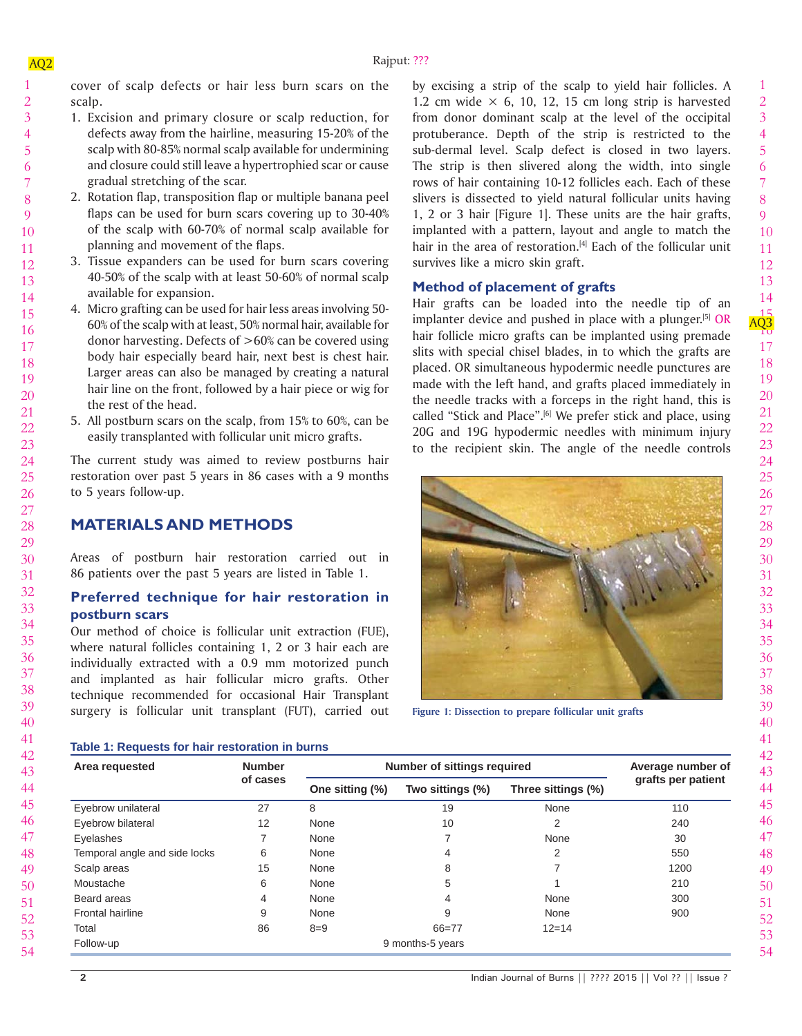cover of scalp defects or hair less burn scars on the scalp.

- 1. Excision and primary closure or scalp reduction, for defects away from the hairline, measuring 15-20% of the scalp with 80-85% normal scalp available for undermining and closure could still leave a hypertrophied scar or cause gradual stretching of the scar.
	- 2. Rotation flap, transposition flap or multiple banana peel flaps can be used for burn scars covering up to 30-40% of the scalp with 60-70% of normal scalp available for planning and movement of the flaps.
		- 3. Tissue expanders can be used for burn scars covering 40-50% of the scalp with at least 50-60% of normal scalp available for expansion.
		- 4. Micro grafting can be used for hair less areas involving 50- 60% of the scalp with at least, 50% normal hair, available for donor harvesting. Defects of  $>60\%$  can be covered using body hair especially beard hair, next best is chest hair. Larger areas can also be managed by creating a natural hair line on the front, followed by a hair piece or wig for the rest of the head.
		- 5. All postburn scars on the scalp, from 15% to 60%, can be easily transplanted with follicular unit micro grafts.

The current study was aimed to review postburns hair restoration over past 5 years in 86 cases with a 9 months to 5 years follow-up.

# **MATERIALS AND METHODS**

Areas of postburn hair restoration carried out in 86 patients over the past 5 years are listed in Table 1.

# **Preferred technique for hair restoration in postburn scars**

Our method of choice is follicular unit extraction (FUE), where natural follicles containing 1, 2 or 3 hair each are individually extracted with a 0.9 mm motorized punch and implanted as hair follicular micro grafts. Other technique recommended for occasional Hair Transplant surgery is follicular unit transplant (FUT), carried out by excising a strip of the scalp to yield hair follicles. A 1.2 cm wide  $\times$  6, 10, 12, 15 cm long strip is harvested from donor dominant scalp at the level of the occipital protuberance. Depth of the strip is restricted to the sub-dermal level. Scalp defect is closed in two layers. The strip is then slivered along the width, into single rows of hair containing 10-12 follicles each. Each of these slivers is dissected to yield natural follicular units having 1, 2 or 3 hair [Figure 1]. These units are the hair grafts, implanted with a pattern, layout and angle to match the hair in the area of restoration.<sup>[4]</sup> Each of the follicular unit survives like a micro skin graft.

# **Method of placement of grafts**

Hair grafts can be loaded into the needle tip of an implanter device and pushed in place with a plunger.<sup>[5]</sup> OR hair follicle micro grafts can be implanted using premade slits with special chisel blades, in to which the grafts are placed. OR simultaneous hypodermic needle punctures are made with the left hand, and grafts placed immediately in the needle tracks with a forceps in the right hand, this is called "Stick and Place".<sup>[6]</sup> We prefer stick and place, using 20G and 19G hypodermic needles with minimum injury to the recipient skin. The angle of the needle controls



**Figure 1: Dissection to prepare follicular unit grafts**

#### **Table 1: Requests for hair restoration in burns**

| Area requested                | <b>Number</b><br>of cases | Number of sittings required |                  |                    | Average number of  |
|-------------------------------|---------------------------|-----------------------------|------------------|--------------------|--------------------|
|                               |                           | One sitting (%)             | Two sittings (%) | Three sittings (%) | grafts per patient |
| Eyebrow unilateral            | 27                        | 8                           | 19               | None               | 110                |
| Eyebrow bilateral             | 12                        | None                        | 10               | 2                  | 240                |
| Eyelashes                     |                           | None                        |                  | None               | 30                 |
| Temporal angle and side locks | 6                         | None                        | 4                | 2                  | 550                |
| Scalp areas                   | 15                        | None                        | 8                |                    | 1200               |
| Moustache                     | 6                         | None                        | 5                |                    | 210                |
| Beard areas                   | 4                         | None                        | 4                | None               | 300                |
| <b>Frontal hairline</b>       | 9                         | None                        | 9                | None               | 900                |
| Total                         | 86                        | $8 = 9$                     | $66 = 77$        | $12 = 14$          |                    |
| Follow-up                     |                           |                             | 9 months-5 years |                    |                    |

54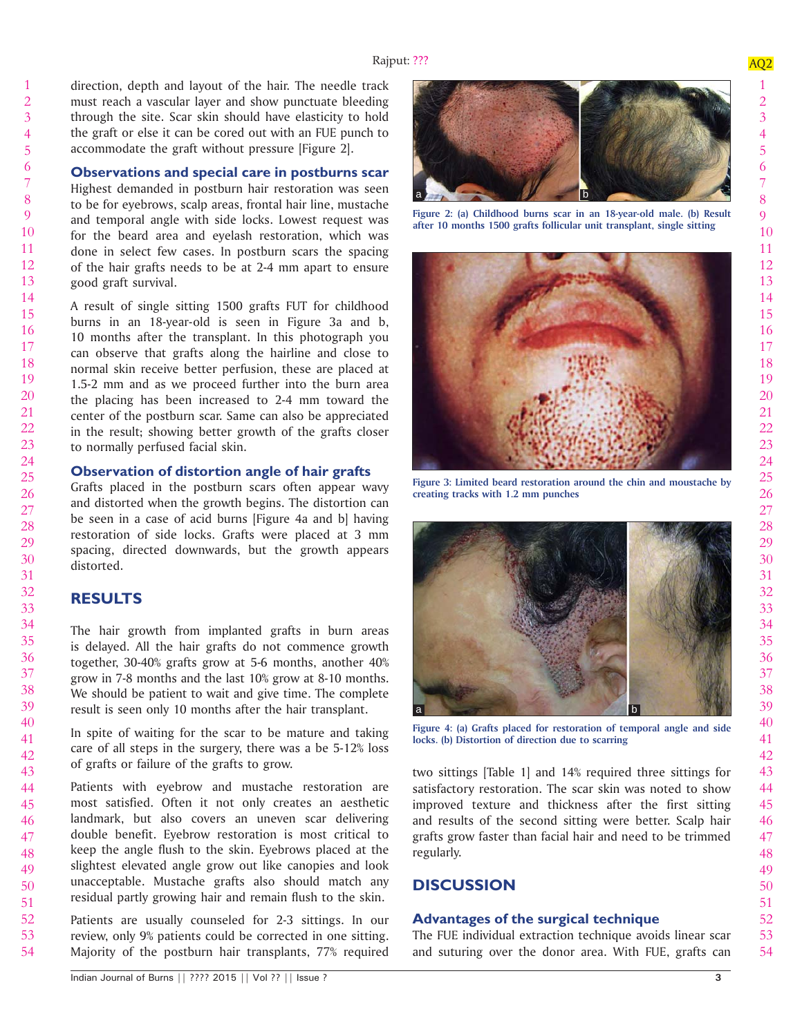direction, depth and layout of the hair. The needle track must reach a vascular layer and show punctuate bleeding through the site. Scar skin should have elasticity to hold the graft or else it can be cored out with an FUE punch to accommodate the graft without pressure [Figure 2].

#### **Observations and special care in postburns scar**

Highest demanded in postburn hair restoration was seen to be for eyebrows, scalp areas, frontal hair line, mustache and temporal angle with side locks. Lowest request was for the beard area and eyelash restoration, which was done in select few cases. In postburn scars the spacing of the hair grafts needs to be at 2-4 mm apart to ensure good graft survival.

A result of single sitting 1500 grafts FUT for childhood burns in an 18-year-old is seen in Figure 3a and b, 10 months after the transplant. In this photograph you can observe that grafts along the hairline and close to normal skin receive better perfusion, these are placed at 1.5-2 mm and as we proceed further into the burn area the placing has been increased to 2-4 mm toward the center of the postburn scar. Same can also be appreciated in the result; showing better growth of the grafts closer to normally perfused facial skin.

#### **Observation of distortion angle of hair grafts**

Grafts placed in the postburn scars often appear wavy and distorted when the growth begins. The distortion can be seen in a case of acid burns [Figure 4a and b] having restoration of side locks. Grafts were placed at 3 mm spacing, directed downwards, but the growth appears distorted.

# **RESULTS**

The hair growth from implanted grafts in burn areas is delayed. All the hair grafts do not commence growth together, 30-40% grafts grow at 5-6 months, another 40% grow in 7-8 months and the last 10% grow at 8-10 months. We should be patient to wait and give time. The complete result is seen only 10 months after the hair transplant.

In spite of waiting for the scar to be mature and taking care of all steps in the surgery, there was a be 5-12% loss of grafts or failure of the grafts to grow.

46 Patients with eyebrow and mustache restoration are most satisfied. Often it not only creates an aesthetic landmark, but also covers an uneven scar delivering double benefit. Eyebrow restoration is most critical to keep the angle flush to the skin. Eyebrows placed at the slightest elevated angle grow out like canopies and look unacceptable. Mustache grafts also should match any residual partly growing hair and remain flush to the skin.

Patients are usually counseled for 2-3 sittings. In our review, only 9% patients could be corrected in one sitting. Majority of the postburn hair transplants, 77% required





**Figure 2: (a) Childhood burns scar in an 18-year-old male. (b) Result after 10 months 1500 grafts follicular unit transplant, single sitting**



**Figure 3: Limited beard restoration around the chin and moustache by creating tracks with 1.2 mm punches**



**Figure 4: (a) Grafts placed for restoration of temporal angle and side locks. (b) Distortion of direction due to scarring**

two sittings [Table 1] and 14% required three sittings for satisfactory restoration. The scar skin was noted to show improved texture and thickness after the first sitting and results of the second sitting were better. Scalp hair grafts grow faster than facial hair and need to be trimmed regularly.

### **DISCUSSION**

#### **Advantages of the surgical technique**

The FUE individual extraction technique avoids linear scar and suturing over the donor area. With FUE, grafts can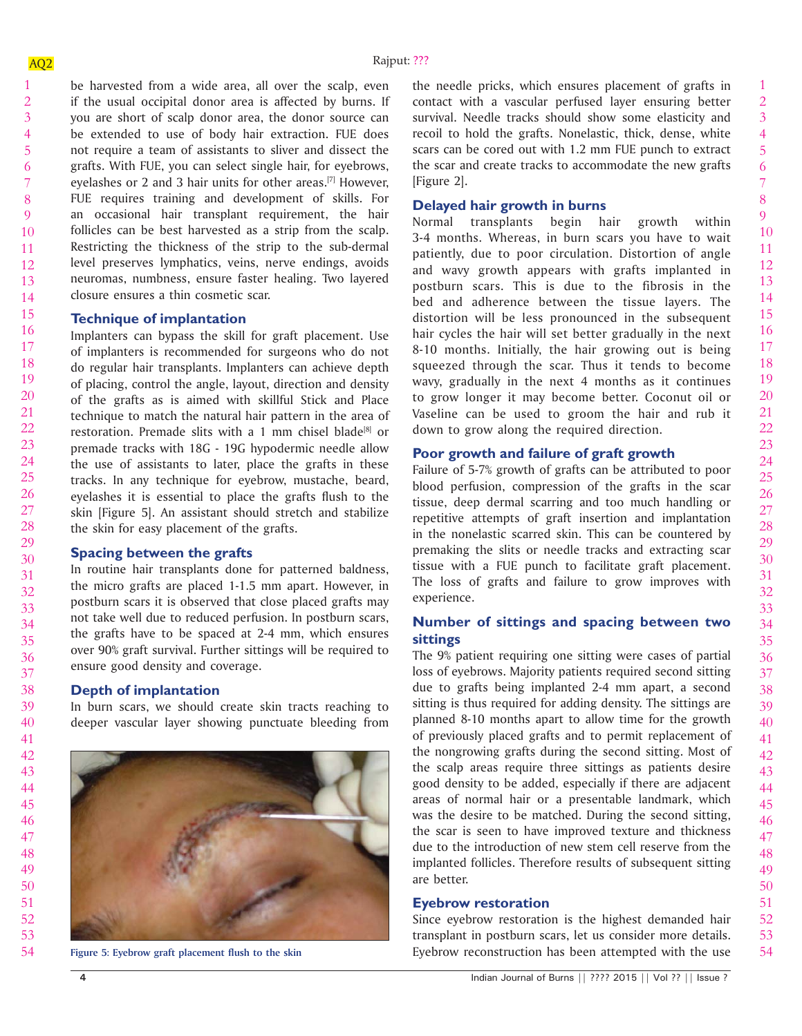10 11 12 13 14 be harvested from a wide area, all over the scalp, even if the usual occipital donor area is affected by burns. If you are short of scalp donor area, the donor source can be extended to use of body hair extraction. FUE does not require a team of assistants to sliver and dissect the grafts. With FUE, you can select single hair, for eyebrows, eyelashes or 2 and 3 hair units for other areas.<sup>[7]</sup> However, FUE requires training and development of skills. For an occasional hair transplant requirement, the hair follicles can be best harvested as a strip from the scalp. Restricting the thickness of the strip to the sub-dermal level preserves lymphatics, veins, nerve endings, avoids neuromas, numbness, ensure faster healing. Two layered closure ensures a thin cosmetic scar.

#### **Technique of implantation**

Implanters can bypass the skill for graft placement. Use of implanters is recommended for surgeons who do not do regular hair transplants. Implanters can achieve depth of placing, control the angle, layout, direction and density of the grafts as is aimed with skillful Stick and Place technique to match the natural hair pattern in the area of restoration. Premade slits with a 1 mm chisel blade<sup>[8]</sup> or premade tracks with 18G - 19G hypodermic needle allow the use of assistants to later, place the grafts in these tracks. In any technique for eyebrow, mustache, beard, eyelashes it is essential to place the grafts flush to the skin [Figure 5]. An assistant should stretch and stabilize the skin for easy placement of the grafts.

#### **Spacing between the grafts**

In routine hair transplants done for patterned baldness, the micro grafts are placed 1-1.5 mm apart. However, in postburn scars it is observed that close placed grafts may not take well due to reduced perfusion. In postburn scars, the grafts have to be spaced at 2-4 mm, which ensures over 90% graft survival. Further sittings will be required to ensure good density and coverage.

#### **Depth of implantation**

In burn scars, we should create skin tracts reaching to deeper vascular layer showing punctuate bleeding from



the needle pricks, which ensures placement of grafts in contact with a vascular perfused layer ensuring better survival. Needle tracks should show some elasticity and recoil to hold the grafts. Nonelastic, thick, dense, white scars can be cored out with 1.2 mm FUE punch to extract the scar and create tracks to accommodate the new grafts [Figure 2].

#### **Delayed hair growth in burns**

Normal transplants begin hair growth within 3-4 months. Whereas, in burn scars you have to wait patiently, due to poor circulation. Distortion of angle and wavy growth appears with grafts implanted in postburn scars. This is due to the fibrosis in the bed and adherence between the tissue layers. The distortion will be less pronounced in the subsequent hair cycles the hair will set better gradually in the next 8-10 months. Initially, the hair growing out is being squeezed through the scar. Thus it tends to become wavy, gradually in the next 4 months as it continues to grow longer it may become better. Coconut oil or Vaseline can be used to groom the hair and rub it down to grow along the required direction.

### **Poor growth and failure of graft growth**

Failure of 5-7% growth of grafts can be attributed to poor blood perfusion, compression of the grafts in the scar tissue, deep dermal scarring and too much handling or repetitive attempts of graft insertion and implantation in the nonelastic scarred skin. This can be countered by premaking the slits or needle tracks and extracting scar tissue with a FUE punch to facilitate graft placement. The loss of grafts and failure to grow improves with experience.

### **Number of sittings and spacing between two sittings**

The 9% patient requiring one sitting were cases of partial loss of eyebrows. Majority patients required second sitting due to grafts being implanted 2-4 mm apart, a second sitting is thus required for adding density. The sittings are planned 8-10 months apart to allow time for the growth of previously placed grafts and to permit replacement of the nongrowing grafts during the second sitting. Most of the scalp areas require three sittings as patients desire good density to be added, especially if there are adjacent areas of normal hair or a presentable landmark, which was the desire to be matched. During the second sitting, the scar is seen to have improved texture and thickness due to the introduction of new stem cell reserve from the implanted follicles. Therefore results of subsequent sitting are better.

#### **Eyebrow restoration**

Since eyebrow restoration is the highest demanded hair transplant in postburn scars, let us consider more details. Figure 5: Eyebrow graft placement flush to the skin **Eyebrow reconstruction** has been attempted with the use

1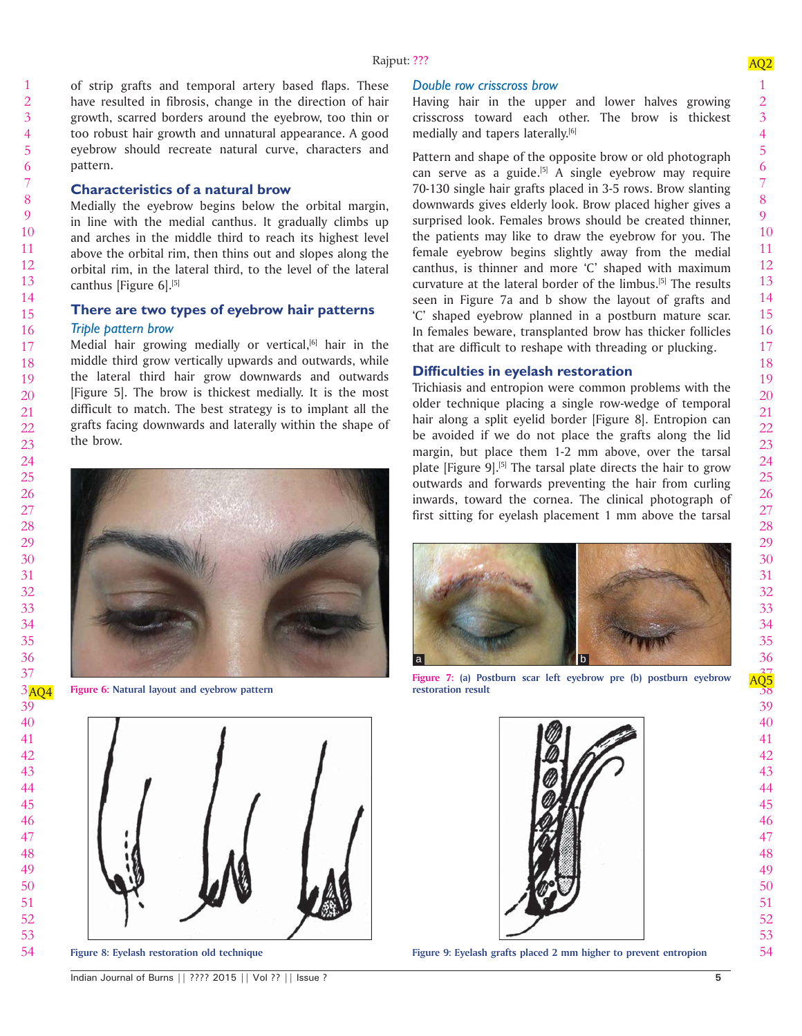of strip grafts and temporal artery based flaps. These have resulted in fibrosis, change in the direction of hair growth, scarred borders around the eyebrow, too thin or too robust hair growth and unnatural appearance. A good eyebrow should recreate natural curve, characters and pattern.

#### **Characteristics of a natural brow**

Medially the eyebrow begins below the orbital margin, in line with the medial canthus. It gradually climbs up and arches in the middle third to reach its highest level above the orbital rim, then thins out and slopes along the orbital rim, in the lateral third, to the level of the lateral canthus [Figure 6].<sup>[5]</sup>

#### **There are two types of eyebrow hair patterns**

#### *Triple pattern brow*

Medial hair growing medially or vertical, $[6]$  hair in the middle third grow vertically upwards and outwards, while the lateral third hair grow downwards and outwards [Figure 5]. The brow is thickest medially. It is the most difficult to match. The best strategy is to implant all the grafts facing downwards and laterally within the shape of the brow.



Figure 6: Natural layout and eyebrow pattern



#### *Double row crisscross brow*

Having hair in the upper and lower halves growing crisscross toward each other. The brow is thickest medially and tapers laterally.<sup>[6]</sup>

Pattern and shape of the opposite brow or old photograph can serve as a guide.<sup>[5]</sup> A single eyebrow may require 70-130 single hair grafts placed in 3-5 rows. Brow slanting downwards gives elderly look. Brow placed higher gives a surprised look. Females brows should be created thinner, the patients may like to draw the eyebrow for you. The female eyebrow begins slightly away from the medial canthus, is thinner and more 'C' shaped with maximum curvature at the lateral border of the limbus.[5] The results seen in Figure 7a and b show the layout of grafts and 'C' shaped eyebrow planned in a postburn mature scar. In females beware, transplanted brow has thicker follicles that are difficult to reshape with threading or plucking.

#### **Diffi culties in eyelash restoration**

Trichiasis and entropion were common problems with the older technique placing a single row-wedge of temporal hair along a split eyelid border [Figure 8]. Entropion can be avoided if we do not place the grafts along the lid margin, but place them 1-2 mm above, over the tarsal plate [Figure 9].<sup>[5]</sup> The tarsal plate directs the hair to grow outwards and forwards preventing the hair from curling inwards, toward the cornea. The clinical photograph of first sitting for eyelash placement 1 mm above the tarsal



**Figure 7:** (a) Postburn scar left eyebrow pre (b) postburn eyebrow  $\frac{AG5}{38}$ 



**Figure 8: Eyelash restoration old technique Figure 9: Eyelash grafts placed 2 mm higher to prevent entropion**